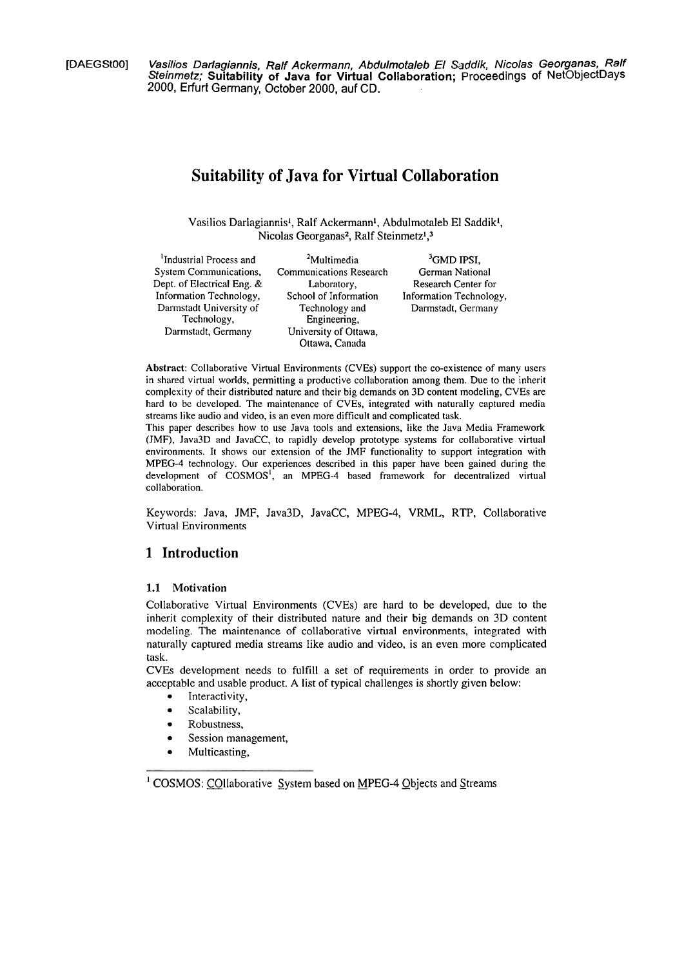**[DAEGStOOl Vasilios Darlagiannis, Ralf Ackermann, Abdulmotaleb .EI** *Saddik,* **Nicolas Georganas, Ralf**  *Steinmetz;* S**uitability of Java for Virtual Collaboration;** Proceedings of NetObjectDays<br>2000, Erfurt Germany, October 2000, auf CD.

# **Suitability of Java for Virtual Collaboration**

Vasilios Darlagiannis<sup>1</sup>, Ralf Ackermann<sup>1</sup>, Abdulmotaleb El Saddik<sup>1</sup>, Nicolas Georganas<sup>2</sup>, Ralf Steinmetz<sup>1</sup>,<sup>3</sup>

| <sup>1</sup> Industrial Process and | <sup>2</sup> Multimedia        | ${}^{3}$ GMD IPSI,      |
|-------------------------------------|--------------------------------|-------------------------|
| System Communications,              | <b>Communications Research</b> | German National         |
| Dept. of Electrical Eng. &          | Laboratory.                    | Research Center for     |
| Information Technology,             | School of Information          | Information Technology, |
| Darmstadt University of             | Technology and                 | Darmstadt, Germany      |
| Technology,                         | Engineering,                   |                         |
| Darmstadt, Germany                  | University of Ottawa,          |                         |
|                                     | Ottawa, Canada                 |                         |

Abstract: Collaborative Virtual Environments (CVEs) support the co-existence of many users in shared virtual worlds, permitting a productive collaboration among them. Due to the inherit complexity of their distributed nature and their big demands on 3D content modeling, CVEs are hard to be developed. The maintenance of CVEs, integrated with naturally captured media streams like audio and video, is an even more difficult and complicated task.

This paper describes how to use Java tools and extensions, like the Java Media Framework (JMF), Java3D and JavaCC, to rapidly develop prototype systems for collaborative virtual environments. It shows our extension of the JMF functionality to support integration with MPEG-4 technology. Our experiences described in this paper have been gained during the development of COSMOS', an MPEG-4 based framework for decentralized virtual collaboration.

Keywords: Java, JMF, Java3D, JavaCC, MPEG-4, VRML, RTP, Collaborative Virtual Environments

### **1 Introduction**

### **1.1 Motivation**

Collaborative Virtual Environments (CVEs) are hard to be developed, due to the inherit complexity of their distributed nature and their big demands on 3D content modeling. The maintenance of collaborative virtual environments, integrated with naturally captured media streams like audio and video, is an even more complicated task.

CVEs development needs to fulfill a set of requirements in order to provide an acceptable and usable product. A list of typical challenges is shortly given below:

- Interactivity,  $\bullet$
- Scalability,  $\blacksquare$
- Robustness,
- Session management,
- Multicasting,

<sup>&</sup>lt;sup>1</sup> COSMOS: COllaborative System based on MPEG-4 Objects and Streams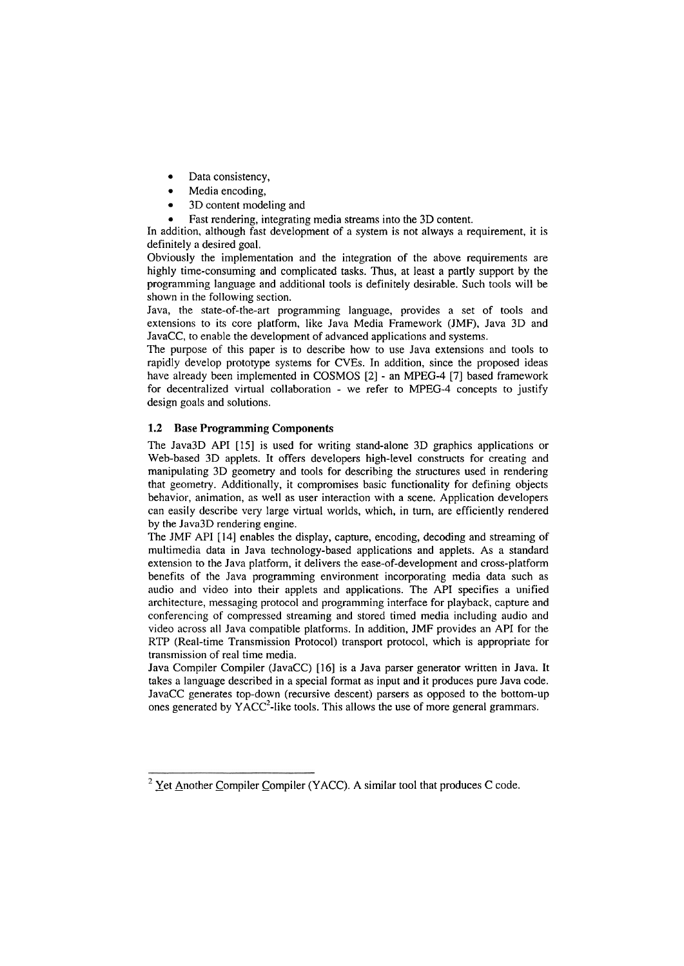- $\bullet$ Data consistency,
- Media encoding,
- 3D content modeling and
- Fast rendering, integrating media streams into the 3D content.

In addition, although fast development of a system is not always a requirement, it is definitely a desired goal.

Obviously the implementation and the integration of the above requirements are highly time-consuming and complicated tasks. Thus, at least a partly support by the programrning language and additional tools is definitely desirable. Such tools will be shown in the following section.

Java, the state-of-the-art programming language, provides a set of tools and extensions to its core platform, like Java Media Framework (JMF). Java 3D and JavaCC, to enable the development of advanced applications and systems.

The purpose of this paper is to describe how to use Java extensions and tools to rapidly develop prototype systems for CVEs. In addition, since the proposed ideas have already been implemented in COSMOS [2] - an MPEG-4 [7] based framework for decentralized virtual collaboration - we refer to MPEG-4 concepts to justify design goals and solutions.

### **1.2 Base Programming Components**

The Java3D **API** [15] is used for writing stand-alone 3D graphics applications or Web-based 3D applets. It offers developers high-level constructs for creating and manipulating 3D geometry and tools for describing the structures used in rendering that geometry. Additionally, it compromises basic functionality for defining objects behavior, animation, as well as user interaction with a scene. Application developers can easily describe very large virtual worlds, which, in turn, are efficiently rendered by the Java3D rendering engine.

The JMF API [I41 enables the display, capture, encoding, decoding and streaming of multirnedia data in Java technology-based applications and applets. As a standard extension to the Java platform, it delivers the ease-of-development and cross-platform benefits of the Java programming environment incorporating media data such as audio and video into their applets and applications. The **API** specifies a unified architecture, messaging protocol and programming interface for playback, capture and conferencing of compressed streaming and stored timed media including audio and video across all Java cornpatible platforrns. In addition, JMF provides an API for the RTP (Real-time Transmission Protocol) transport protocol, which is appropriate for transmission of real time media.

Java Compiler Compiler (JavaCC) [16] is a Java Parser generator written in Java. It takes a language described in a special format as input and it produces pure Java code. JavaCC generates top-down (recursive descent) parsers as opposed to the bottom-up ones generated by  $YACC<sup>2</sup>$ -like tools. This allows the use of more general grammars.

 $2$  Yet Another Compiler Compiler (YACC). A similar tool that produces C code.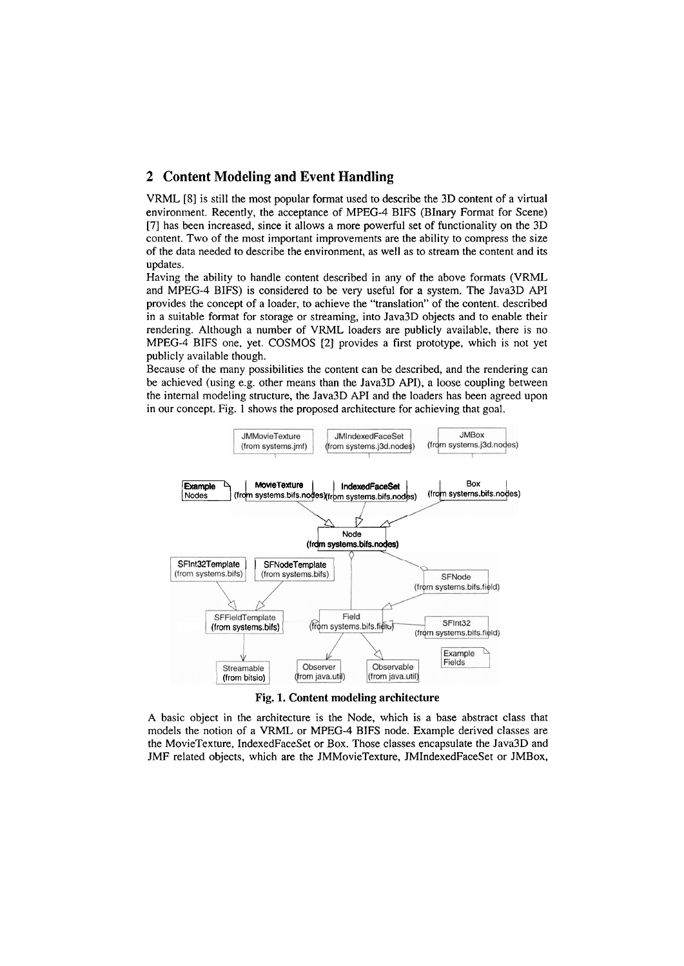## **2 Content Modeling and Event Handling**

VRML [SI is still the most popular format used to describe the 3D content of a virtual environment. Recently, the acceptance of MPEG-4 BFS (BInary Format for Scene) [7] has been increased, since it allows a more powerful set of functionality on the 3D content. Two of the most important improvernents are the ability to compress the size of the data needed to describe the environrnent, as well as to stream the content and its updates.

Having the ability to handle content described in any of the above forrnats (VRML and MPEG-4 BIFS) is considered to be very useful for a System. The Java3D **API**  provides the concept of a loader, to achieve the "translation" of the content. described in a suitable format for Storage or streaming, into Java3D objects and to enable their rendering. Although a number of VRML loaders are publicly available, there is no MPEG-4 BIFS one, yet. COSMOS [2] provides a first prototype, which is not yet publicly available though.

Because of the many possibilities the content can be described, and the rendering can be achieved (using e.g. other rneans than the Java3D API), a loose coupling between the internal rnodeling structure, the Java3D API and the loaders has been agreed upon in our concept. Fig. 1 shows the proposed architecture for achieving that goal.



**Fig. 1. Content modeling architecture** 

A basic object in the architecture is the Node, which is a base abstract class that models the notion of a VRML or MPEG-4 BIFS node. Example derived classes are the MovieTexture, IndexedFaceSet or Box. Those classes encapsulate the Java3D and JMF related objects, which are the JMMovieTexture, JMIndexedFaceSet or JMBox,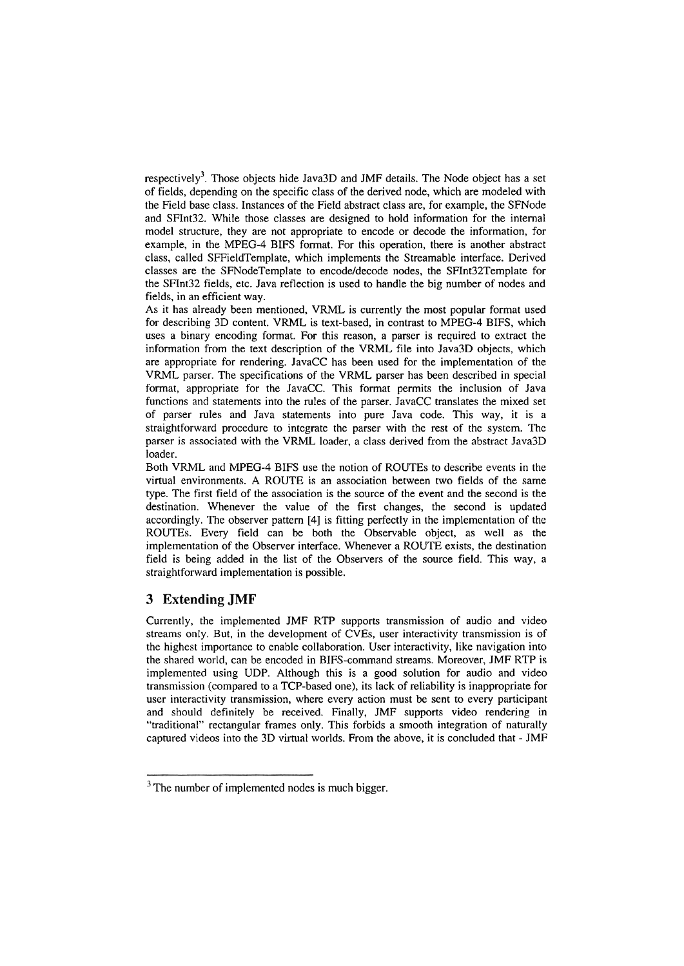respectively<sup>3</sup>. Those objects hide Java3D and JMF details. The Node object has a set of fields, depending on the specific class of the derived node, which are modeled with the Field base class. Instances of the Field abstract class are, for example, the SFNode and SFInt32. While those classes are designed to hold information for the internal model structure, they are not appropriate to encode or decode the information, for example, in the MPEG-4 BIFS format. For this operation, there is another abstract class, called SFFieldTemplate, which implements the Streamable interface. Derived classes are the SFNodeTemplate to encodeldecode nodes, the SFInt32Template for the SFInt32 fields, etc. Java reflection is used to handle the big number of nodes and fields, in an efficient way.

As it has already been mentioned, VRML is currently the most popular format used for describing 3D content. VRML is text-based, in contrast to MPEG-4 BIFS, which uses a binary encoding format. For this reason, a parser is required to extract the information from the text description of the VRML file into Java3D objects, which are appropriate for rendering. JavaCC has been used for the implementation of the VRML parser. The specifications of the VRML parser has been described in special format, appropriate for the JavaCC. This format permits the inclusion of Java functions and statements into the rules of the parser. JavaCC translates the mixed Set of parser rules and Java statements into pure Java code. This way, it is a straightforward procedure to integrate the parser with the rest of the System. The parser is associated with the VRML loader, a class derived from the abstract Java3D loader.

Both VRML and MPEG-4 BIFS use the notion of ROUTEs to describe events in the virtual environments. A ROUTE is an association between two fields of the same type. The first field of the association is the source of the event and the second is the destination. Whenever the value of the first changes, the second is updated accordingly. The observer pattern [4] is fitting perfectly in the implementation of the ROUTEs. Every field can be both the Observable object, as well as the implementation of the Observer interface. Whenever a ROUTE exists, the destination field is being added in the list of the Observers of the source field. This way, a straightforward implementation is possible.

### **3 Extending JMF**

Currently, the implemented JMF RTP supports transmission of audio and video streams only. But, in the development of CVEs, User interactivity transmission is of the highest importance to enable collaboration. User interactivity, like navigation into the shared world, can be encoded in BIFS-command streams. Moreover, JMF RTP is implemented using UDP. Although this is a good solution for audio and video transmission (compared to a TCP-based one), its lack of reliability is inappropriate for user interactivity transmission, where every action must be sent to every participant and should definitely be received. Finally, JMF supports video rendering in "traditional" rectangular frames only. This forbids a smooth integration of naturally captured videos into the 3D virtual worlds. From the above, it is concluded that - JMF

 $3$  The number of implemented nodes is much bigger.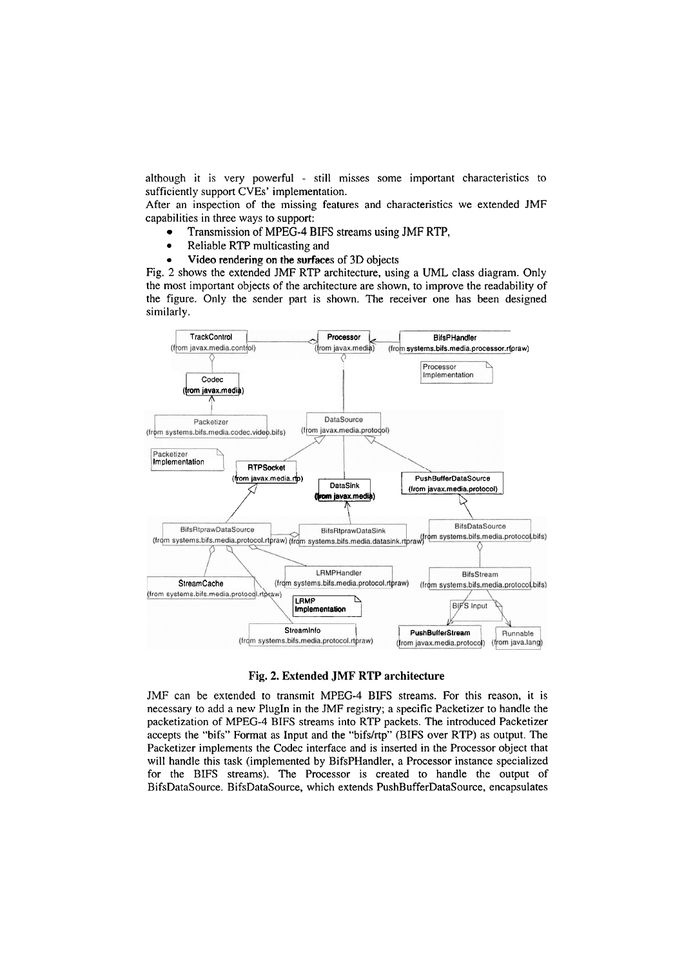although it is very powerful - still misses some important characteristics to sufficiently support CVEs' implementation.

After an inspection of the missing features and characteristics we extended JMF capabilities in three ways to support:

- Transmission of MPEG-4 BiFS streams using JMF RTP,
- $\bullet$ Reliable RTP multicasting and
- Video rendering on the surfaces of 3D objects

Fig. 2 shows the extended JMF RTP architecture, using a UML class diagram. Only the most important objects of the architecture are shown, to improve the readability of the figure. Only the sender part is shown. The receiver one has been designed similarly.



#### **Fig. 2. Extended JMF RTP architecture**

JMF can be extended to transmit MPEG-4 BiFS streams. For this reason, it is necessary to add a new PlugIn in the JMF registry; a specific Packetizer to handle the packetization of MPEG-4 BIFS streams into RTP packets. The introduced Packetizer accepts the "bifs" Format as Input and the "bifslrtp" (BIFS over RTP) as output. The Packetizer implements the Codec interface and is inserted in the Processor object that will handle this task (implemented by BifsPHandler, a Processor instance specialized for the BLFS streams). The Processor is created to handle the output of BifsDataSource. BifsDataSource, which extends PushBufferDataSource, encapsulates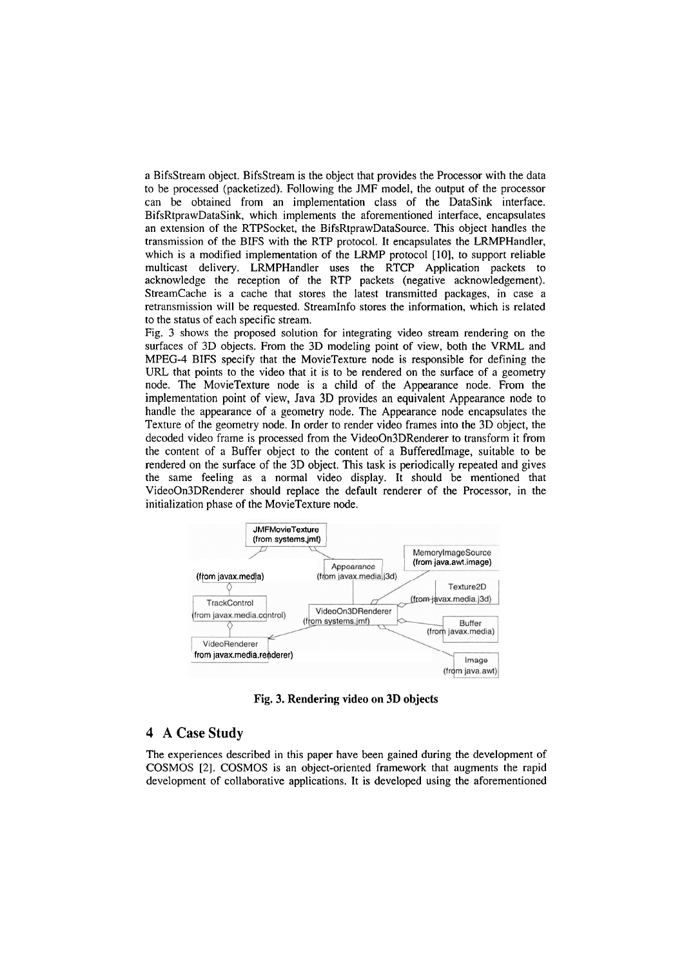a BifsStream object. BifsStream is the object that provides the Processor with the data to be processed (packetized). Following the JMF model, the output of the processor can be obtained from an implementation class of the DataSink interface. BifsRtprawDataSink, which implements the aforementioned interface, encapsulates an extension of the RTPSocket, the BifsRtprawDataSource. This object handles the transmission of the BIFS with the RTP protocol. It encapsulates the LRMPHandler, which is a modified implementation of the LRMP protocol  $[10]$ , to support reliable multicast delivery. LRMPHandler uses the RTCP Application packets to acknowledge the reception of the RTP packets (negative acknowledgement). StreamCache is a cache that stores the latest transmitted packages, in case a retransmission will be requested. StreamInfo stores the information, which is related to the status of each specific stream.

Fig. 3 shows the proposed solution for integrating video stream rendering on the surfaces of 3D objects. From the 3D modeling point of view, both the VRML and MPEG-4 BIFS specify that the MovieTexture node is responsible for defining the URL that points to the video that it is to be rendered on the surface of a geometry node. The MovieTexture node is a child of the Appearance node. From the implementation point of view, Java 3D provides an equivalent Appearance node to handle the appearance of a geometry node. The Appearance node encapsulates the Texture of the geometry node. In order to render video frames into the 3D object, the decoded video frame is processed from the VideoOn3DRenderer to transform it from the content of a Buffer object to the content of a Bufferedimage, suitable to be rendered on the surface of the 3D object. This task is periodically repeated and gives the same feeling as a normal video display. It should be mentioned that VideoOn3DRenderer should replace the default renderer of the Processor, in the initialization phase of the MovieTexture node.



**Fig. 3. Rendering video on 3D objects** 

### **4 A Case Study**

The experiences described in this paper have been gained during the development of COSMOS [2]. COSMOS is an object-oriented framework that augments the rapid development of collaborative applications. It is developed using the aforementioned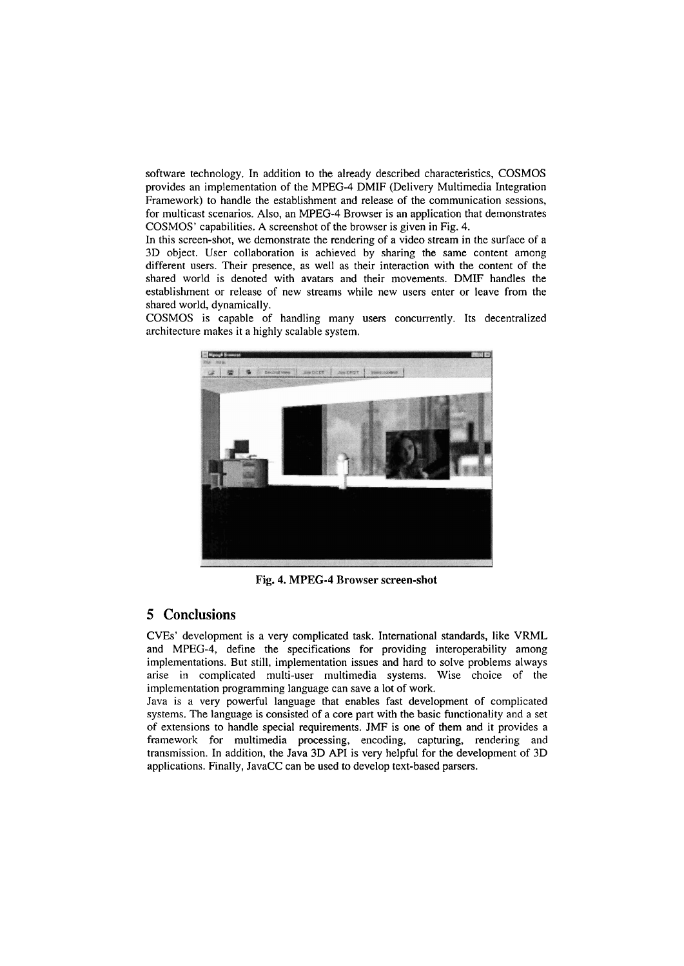software technology. In addition to the already described characteristics, COSMOS provides an implernentation of the MPEG-4 DMIF (Delivery Multimedia Lntegration Framework) to handle the establishment and release of the communication sessions, for multicast scenarios. Also, an MPEG-4 Browser is an application that demonstrates COSMOS' capabilities. **A** screenshot of the browser is given in Fig. 4.

In this screen-shot, we demonstrate the rendering of a video stream in the surface of a 3D object. User collaboration is achieved by sharing the same content among different users. Their presence, as well as their interaction with the content of the shared world is denoted with avatars and their movements. DMIF handles the establishment or release of new streams while new users enter or leave from the shared world, dynamically.

COSMOS is capable of handling many users concurrently. Its decentralized architecture makes it a highly scalable system.



**Fig.** 4. **MPEG-4** Browser screen-shot

# **5 Conclusions**

CVEs' development is a very complicated task. International standards, like VRML and MPEG-4, define the specifications for providing interoperability among implementations. But still, implementation issues and hard to solve problems always arise in complicated multi-user multimedia Systems. Wise choice of the implementation programming language can save a lot of work.

Java is a very powerful language that enables fast development of complicated systems. The language is consisted of a core part with the basic functionality and a set of extensions to handle special requirements. JMF is one of them and it provides a framework for multimedia processing, encoding, capturing, rendering and transmission. In addition, the Java 3D API is very helpful for the development of 3D applications. Finally, JavaCC can be used to develop text-based parsers.